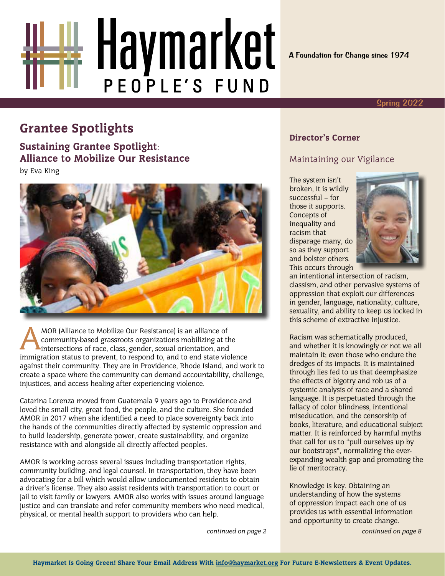

A Foundation for Change since 1974

#### Spring 2022

# Grantee Spotlights **Director's Corner**

Sustaining Grantee Spotlight: Alliance to Mobilize Our Resistance by Eva King



MOR (Alliance to Mobilize Our Resistance) is an alliance of<br>community-based grassroots organizations mobilizing at the<br>intersections of race, class, gender, sexual orientation, and<br>immigration status to provinct to respond community-based grassroots organizations mobilizing at the intersections of race, class, gender, sexual orientation, and immigration status to prevent, to respond to, and to end state violence against their community. They are in Providence, Rhode Island, and work to create a space where the community can demand accountability, challenge, injustices, and access healing after experiencing violence.

Catarina Lorenza moved from Guatemala 9 years ago to Providence and loved the small city, great food, the people, and the culture. She founded AMOR in 2017 when she identified a need to place sovereignty back into the hands of the communities directly affected by systemic oppression and to build leadership, generate power, create sustainability, and organize resistance with and alongside all directly affected peoples.

AMOR is working across several issues including transportation rights, community building, and legal counsel. In transportation, they have been advocating for a bill which would allow undocumented residents to obtain a driver's license. They also assist residents with transportation to court or jail to visit family or lawyers. AMOR also works with issues around language justice and can translate and refer community members who need medical, physical, or mental health support to providers who can help.

*continued on page 2*

#### Maintaining our Vigilance

The system isn't broken, it is wildly successful – for those it supports. Concepts of inequality and racism that disparage many, do so as they support and bolster others. This occurs through



an intentional intersection of racism, classism, and other pervasive systems of oppression that exploit our differences in gender, language, nationality, culture, sexuality, and ability to keep us locked in this scheme of extractive injustice.

Racism was schematically produced, and whether it is knowingly or not we all maintain it; even those who endure the dredges of its impacts. It is maintained through lies fed to us that deemphasize the effects of bigotry and rob us of a systemic analysis of race and a shared language. It is perpetuated through the fallacy of color blindness, intentional miseducation, and the censorship of books, literature, and educational subject matter. It is reinforced by harmful myths that call for us to "pull ourselves up by our bootstraps", normalizing the everexpanding wealth gap and promoting the lie of meritocracy.

Knowledge is key. Obtaining an understanding of how the systems of oppression impact each one of us provides us with essential information and opportunity to create change.

*continued on page 8*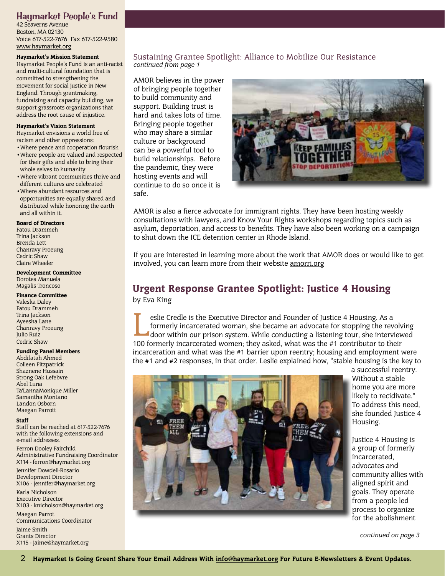#### Haymarket People's Fund

42 Seaverns Avenue Boston, MA 02130 Voice 617-522-7676 Fax 617-522-9580 [www.haymarket.org](http://www.haymarket.org)

#### Haymarket's Mission Statement

Haymarket People's Fund is an anti-racist and multi-cultural foundation that is committed to strengthening the movement for social justice in New England. Through grantmaking, fundraising and capacity building, we support grassroots organizations that address the root cause of injustice.

#### Haymarket's Vision Statement

Haymarket envisions a world free of racism and other oppressions:

- •Where peace and cooperation flourish
- •Where people are valued and respected for their gifts and able to bring their whole selves to humanity
- •Where vibrant communities thrive and different cultures are celebrated
- •Where abundant resources and opportunities are equally shared and distributed while honoring the earth and all within it.

#### Board of Directors

Fatou Drammeh Trina Jackson Brenda Lett Chanravy Proeung Cedric Shaw Claire Wheeler

#### Development Committee

Dorotea Manuela Magalis Troncoso

#### Finance Committee

Valeska Daley Fatou Drammeh Trina Jackson Ayeesha Lane Chanravy Proeung Julio Ruiz Cedric Shaw

#### Funding Panel Members

Abdifatah Ahmed Colleen Fitzpatrick Shaznene Hussain Strong Oak Lefebvre Abel Luna Ta'LannaMonique Miller Samantha Montano Landon Osborn Maegan Parrott

#### **Staff**

Staff can be reached at 617-522-7676 with the following extensions and e-mail addresses.

Ferron Dooley Fairchild Administrative Fundraising Coordinator X114 - ferron@haymarket.org

Jennifer Dowdell-Rosario Development Director X106 - jennifer@haymarket.org

Karla Nicholson Executive Director X103 - knicholson@haymarket.org

Maegan Parrot Communications Coordinator Jaime Smith Grants Director X115 - jaime@haymarket.org

#### Sustaining Grantee Spotlight: Alliance to Mobilize Our Resistance *continued from page 1*

AMOR believes in the power of bringing people together to build community and support. Building trust is hard and takes lots of time. Bringing people together who may share a similar culture or background can be a powerful tool to build relationships. Before the pandemic, they were hosting events and will continue to do so once it is safe.



AMOR is also a fierce advocate for immigrant rights. They have been hosting weekly consultations with lawyers, and Know Your Rights workshops regarding topics such as asylum, deportation, and access to benefits. They have also been working on a campaign to shut down the ICE detention center in Rhode Island.

If you are interested in learning more about the work that AMOR does or would like to get involved, you can learn more from their website [amorri.org](https://amorri.org/)

## Urgent Response Grantee Spotlight: Justice 4 Housing

by Eva King

Executive Director and Founder of Justice 4 Housing. As a formerly incarcerated woman, she became an advocate for stopping the revolving door within our prison system. While conducting a listening tour, she interviewed 100 formerly incarcerated woman, she became an advocate for stopping the revolving 100 formerly incarcerated women; they asked, what was the #1 contributor to their incarceration and what was the #1 barrier upon reentry; housing and employment were the #1 and #2 responses, in that order. Leslie explained how, "stable housing is the key to



a successful reentry. Without a stable home you are more likely to recidivate." To address this need, she founded Justice 4 Housing.

Justice 4 Housing is a group of formerly incarcerated, advocates and community allies with aligned spirit and goals. They operate from a people led process to organize for the abolishment

*continued on page 3*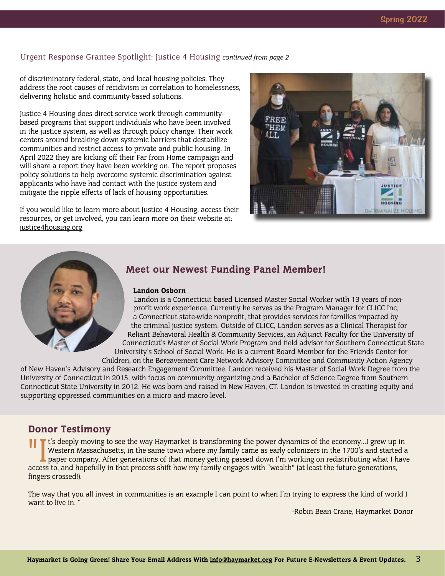#### Urgent Response Grantee Spotlight: Justice 4 Housing *continued from page 2*

of discriminatory federal, state, and local housing policies. They address the root causes of recidivism in correlation to homelessness, delivering holistic and community-based solutions.

Justice 4 Housing does direct service work through communitybased programs that support individuals who have been involved in the justice system, as well as through policy change. Their work centers around breaking down systemic barriers that destabilize communities and restrict access to private and public housing. In April 2022 they are kicking off their Far from Home campaign and will share a report they have been working on. The report proposes policy solutions to help overcome systemic discrimination against applicants who have had contact with the justice system and mitigate the ripple effects of lack of housing opportunities.

If you would like to learn more about Justice 4 Housing, access their resources, or get involved, you can learn more on their website at: [justice4housing.org](https://www.justice4housing.org)





#### Meet our Newest Funding Panel Member!

#### Landon Osborn

Landon is a Connecticut based Licensed Master Social Worker with 13 years of nonprofit work experience. Currently he serves as the Program Manager for CLICC Inc, a Connecticut state-wide nonprofit, that provides services for families impacted by the criminal justice system. Outside of CLICC, Landon serves as a Clinical Therapist for Reliant Behavioral Health & Community Services, an Adjunct Faculty for the University of Connecticut's Master of Social Work Program and field advisor for Southern Connecticut State University's School of Social Work. He is a current Board Member for the Friends Center for Children, on the Bereavement Care Network Advisory Committee and Community Action Agency

of New Haven's Advisory and Research Engagement Committee. Landon received his Master of Social Work Degree from the University of Connecticut in 2015, with focus on community organizing and a Bachelor of Science Degree from Southern Connecticut State University in 2012. He was born and raised in New Haven, CT. Landon is invested in creating equity and supporting oppressed communities on a micro and macro level.

#### Donor Testimony

It's deeply moving to see the way Haymarket is transforming the power dynamics of the economy…I grew up in Western Massachusetts, in the same town where my family came as early colonizers in the 1700's and started a paper Western Massachusetts, in the same town where my family came as early colonizers in the 1700's and started a access to, and hopefully in that process shift how my family engages with "wealth" (at least the future generations, fingers crossed!).

The way that you all invest in communities is an example I can point to when I'm trying to express the kind of world I want to live in. "

-Robin Bean Crane, Haymarket Donor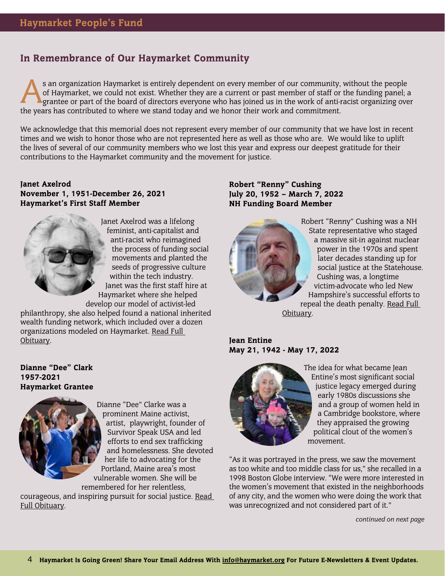### In Remembrance of Our Haymarket Community

s an organization Haymarket is entirely dependent on every member of our community, without the people of Haymarket, we could not exist. Whether they are a current or past member of staff or the funding panel; a grantee or of Haymarket, we could not exist. Whether they are a current or past member of staff or the funding panel; a the years has contributed to where we stand today and we honor their work and commitment.

We acknowledge that this memorial does not represent every member of our community that we have lost in recent times and we wish to honor those who are not represented here as well as those who are. We would like to uplift the lives of several of our community members who we lost this year and express our deepest gratitude for their contributions to the Haymarket community and the movement for justice.

#### Janet Axelrod November 1, 1951-December 26, 2021 Haymarket's First Staff Member



Janet Axelrod was a lifelong feminist, anti-capitalist and anti-racist who reimagined the process of funding social movements and planted the seeds of progressive culture within the tech industry. Janet was the first staff hire at Haymarket where she helped develop our model of activist-led

philanthropy, she also helped found a national inherited wealth funding network, which included over a dozen organizations modeled on Haymarket. [Read Full](https://www.legacy.com/us/obituaries/nytimes/name/janet-axelrod-obituary?id=33078286)  [Obituary.](https://www.legacy.com/us/obituaries/nytimes/name/janet-axelrod-obituary?id=33078286)

Dianne "Dee" Clark 1957-2021 Haymarket Grantee



Dianne "Dee" Clarke was a prominent Maine activist, artist, playwright, founder of Survivor Speak USA and led efforts to end sex trafficking and homelessness. She devoted her life to advocating for the Portland, Maine area's most vulnerable women. She will be remembered for her relentless,

courageous, and inspiring pursuit for social justice. [Read](https://www.pressherald.com/2021/11/04/dianne-dee-clarke-activist-to-end-sex-trafficking-and-homelessness-dies-at-64/)  [Full Obituary](https://www.pressherald.com/2021/11/04/dianne-dee-clarke-activist-to-end-sex-trafficking-and-homelessness-dies-at-64/).

#### Robert "Renny" Cushing July 20, 1952 – March 7, 2022 NH Funding Board Member



Robert "Renny" Cushing was a NH State representative who staged a massive sit-in against nuclear power in the 1970s and spent later decades standing up for social justice at the Statehouse. Cushing was, a longtime victim-advocate who led New Hampshire's successful efforts to repeal the death penalty. [Read Full](https://www.seacoastonline.com/story/news/2022/03/07/robert-renny-cushing-dies-hampton-nh-house-democratic-leader-prostate-cancer/9417816002/)  [Obituary.](https://www.seacoastonline.com/story/news/2022/03/07/robert-renny-cushing-dies-hampton-nh-house-democratic-leader-prostate-cancer/9417816002/)

Jean Entine May 21, 1942 - May 17, 2022



The idea for what became Jean Entine's most significant social justice legacy emerged during early 1980s discussions she and a group of women held in a Cambridge bookstore, where they appraised the growing political clout of the women's movement.

"As it was portrayed in the press, we saw the movement as too white and too middle class for us," she recalled in a 1998 Boston Globe interview. "We were more interested in the women's movement that existed in the neighborhoods of any city, and the women who were doing the work that was unrecognized and not considered part of it."

*continued on next page*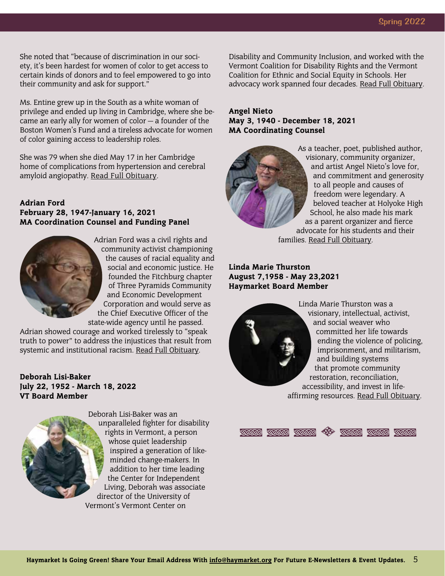She noted that "because of discrimination in our society, it's been hardest for women of color to get access to certain kinds of donors and to feel empowered to go into their community and ask for support."

Ms. Entine grew up in the South as a white woman of privilege and ended up living in Cambridge, where she became an early ally for women of color — a founder of the Boston Women's Fund and a tireless advocate for women of color gaining access to leadership roles.

She was 79 when she died May 17 in her Cambridge home of complications from hypertension and cerebral amyloid angiopathy. [Read Full Obituary.](https://www.bostonglobe.com/2022/06/19/metro/jean-entine-activist-ally-bostons-women-color-dies-79/?p1=BGSearch_Overlay_Results)

#### Adrian Ford February 28, 1947-January 16, 2021 MA Coordination Counsel and Funding Panel



Adrian Ford was a civil rights and community activist championing the causes of racial equality and social and economic justice. He founded the Fitchburg chapter of Three Pyramids Community and Economic Development Corporation and would serve as the Chief Executive Officer of the state-wide agency until he passed.

Adrian showed courage and worked tirelessly to "speak truth to power" to address the injustices that result from systemic and institutional racism[. Read Full Obituary](https://www.legacy.com/us/obituaries/telegram/name/adrian-ford-obituary?pid=197539521).

#### Deborah Lisi-Baker July 22, 1952 - March 18, 2022 VT Board Member



Deborah Lisi-Baker was an unparalleled fighter for disability rights in Vermont, a person whose quiet leadership inspired a generation of likeminded change-makers. In addition to her time leading the Center for Independent Living, Deborah was associate director of the University of Vermont's Vermont Center on

Disability and Community Inclusion, and worked with the Vermont Coalition for Disability Rights and the Vermont Coalition for Ethnic and Social Equity in Schools. Her advocacy work spanned four decades. [Read Full Obituary.](https://vtdigger.org/2022/03/25/unparalleled-advocate-for-vermonters-with-disabilities-deborah-lisi-baker-dies/)

#### Angel Nieto May 3, 1940 - December 18, 2021 MA Coordinating Counsel



As a teacher, poet, published author, visionary, community organizer, and artist Angel Nieto's love for, and commitment and generosity to all people and causes of freedom were legendary. A beloved teacher at Holyoke High School, he also made his mark as a parent organizer and fierce advocate for his students and their families. [Read Full Obituary](https://www.legacy.com/us/obituaries/gazettenet/name/angel-nieto-obituary?id=32045642).

Linda Marie Thurston August 7,1958 - May 23,2021 Haymarket Board Member



Linda Marie Thurston was a visionary, intellectual, activist, and social weaver who committed her life towards ending the violence of policing, imprisonment, and militarism, and building systems that promote community restoration, reconciliation, accessibility, and invest in lifeaffirming resources. [Read Full Obituary.](https://www.warresisters.org/she-wove-us-together-linda-marie-thurston-1958-2021)

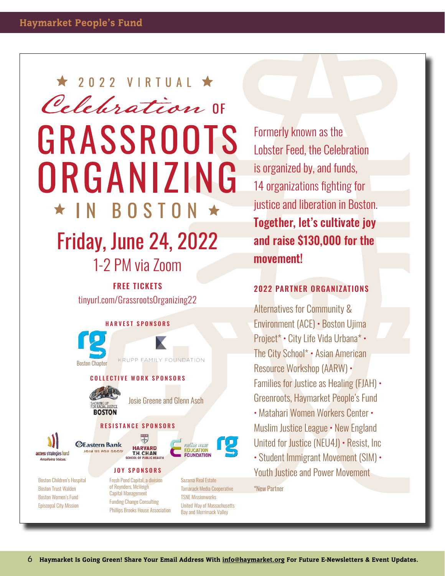# Celebration IF GRASSROOTS ORGANIZING **BOSTON** Friday, June 24, 2022 1-2 PM via Zoom

 $\star$  2022 VIRTUAL  $\star$ 

FREE TICKETS tinyurl.com/GrassrootsOrganizing22

#### HARVEST SPONSORS



Phillips Brooks House Association

Formerly known as the Lobster Feed, the Celebration is organized by, and funds, 14 organizations fighting for justice and liberation in Boston. Together, let's cultivate joy and raise \$130,000 for the movement!

#### 2022 PARTNER ORGANIZATIONS

Alternatives for Community & Environment (ACE) • Boston Ujima Project\* • City Life Vida Urbana\* • The City School\* • Asian American Resource Workshop (AARW) • Families for Justice as Healing (FJAH) • Greenroots, Haymarket People's Fund • Matahari Women Workers Center • Muslim Justice League • New England United for Justice (NEU4J) • Resist, Inc • Student Immigrant Movement (SIM) •

Youth Justice and Power Movement

\*New Partner

Bay and Merrimack Valley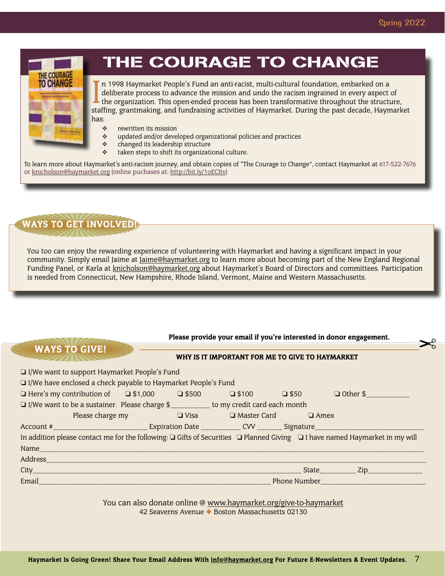$\blacktriangleright_{\mathbb{S}}^{\varrho}$ 



## THE COURAGE TO CHANGE

In 1998 Haymarket People's Fund an anti-racist, multi-cultural foundation, embarked on a deliberate process to advance the mission and undo the racism ingrained in every aspect of the organization. This open-ended process n 1998 Haymarket People's Fund an anti-racist, multi-cultural foundation, embarked on a deliberate process to advance the mission and undo the racism ingrained in every aspect of the organization. This open-ended process has been transformative throughout the structure, has:

- ❖ rewritten its mission
- ❖ updated and/or developed organizational policies and practices
- ❖ changed its leadership structure
- taken steps to shift its organizational culture.

To learn more about Haymarket's anti-racism journey, and obtain copies of "The Courage to Change", contact Haymarket at 617-522-7676 or [knicholson@haymarket.org](mailto:knicholson%40haymarket.org?subject=) (online puchases at: http://bit.ly/1oECItv)



WAYS TO GIVE!

You too can enjoy the rewarding experience of volunteering with Haymarket and having a significant impact in your community. Simply email Jaime a[t Jaime@haymarket.org](mailto:%20Jaime%40haymarket.org?subject=) to learn more about becoming part of the New England Regional Funding Panel, or Karla at [knicholson@haymarket.org](mailto:knicholson%40haymarket.org?subject=) about Haymarket's Board of Directors and committees. Participation is needed from Connecticut, New Hampshire, Rhode Island, Vermont, Maine and Western Massachusetts.

#### Please provide your email if you're interested in donor engagement.

#### WHY IS IT IMPORTANT FOR ME TO GIVE TO HAYMARKET

| $\Box$ I/We want to support Haymarket People's Fund |  |
|-----------------------------------------------------|--|
|-----------------------------------------------------|--|

| I/We have enclosed a check payable to Haymarket People's Fund |  |  |
|---------------------------------------------------------------|--|--|
|---------------------------------------------------------------|--|--|

| $\Box$ Here's my contribution of $\Box$ \$1,000 $\Box$ \$500 $\Box$ \$100 $\Box$ \$50 $\Box$ Other \$                       |                                                             |  |  |  |                                         |  |  |
|-----------------------------------------------------------------------------------------------------------------------------|-------------------------------------------------------------|--|--|--|-----------------------------------------|--|--|
| □ I/We want to be a sustainer. Please charge \$_________ to my credit card each month                                       |                                                             |  |  |  |                                         |  |  |
|                                                                                                                             | Please charge my $\Box$ Visa $\Box$ Master Card $\Box$ Amex |  |  |  |                                         |  |  |
|                                                                                                                             |                                                             |  |  |  |                                         |  |  |
| In addition please contact me for the following: Q Gifts of Securities Q Planned Giving Q I have named Haymarket in my will |                                                             |  |  |  |                                         |  |  |
|                                                                                                                             |                                                             |  |  |  |                                         |  |  |
|                                                                                                                             |                                                             |  |  |  |                                         |  |  |
|                                                                                                                             |                                                             |  |  |  | State___________ Zip________________    |  |  |
| Email                                                                                                                       |                                                             |  |  |  | <b>Phone Number <i>Phone Number</i></b> |  |  |
|                                                                                                                             |                                                             |  |  |  |                                         |  |  |

You can also donate online @ www.haymarket.org/give-to-haymarket 42 Seaverns Avenue ◆ Boston Massachusetts 02130